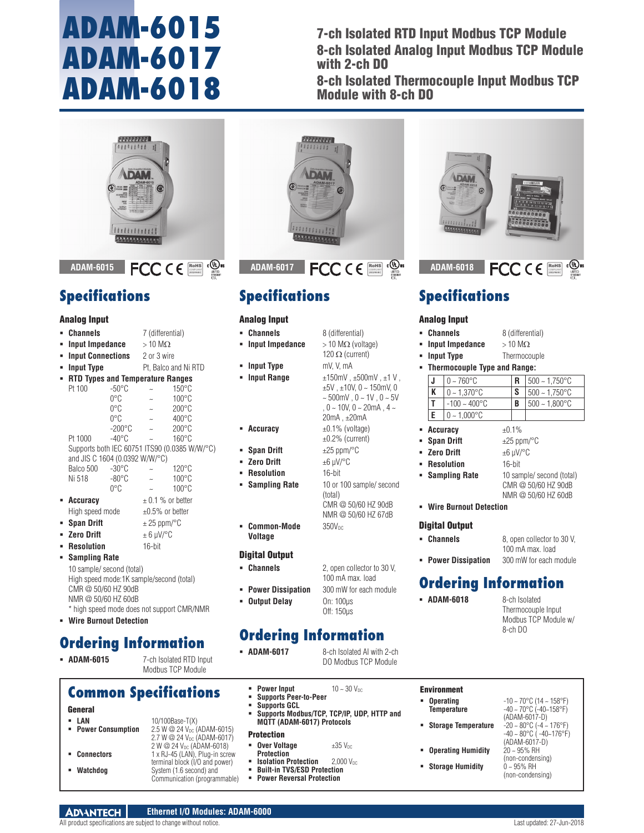## **ADAM-6015 ADAM-6017 ADAM-6018**

7-ch Isolated RTD Input Modbus TCP Module 8-ch Isolated Analog Input Modbus TCP Module with 2-ch DO

8-ch Isolated Thermocouple Input Modbus TCP Module with 8-ch DO



## **Specifications**

#### Analog Input

| ∎ | <b>Channels</b>                          |                                               | 7 (differential)                   |                 |  |
|---|------------------------------------------|-----------------------------------------------|------------------------------------|-----------------|--|
| ٠ | Input Impedance                          |                                               | $>10$ M $\Omega$                   |                 |  |
| ∎ | <b>Input Connections</b> 2 or 3 wire     |                                               |                                    |                 |  |
| ٠ | <b>Input Type</b>                        |                                               | Pt, Balco and Ni RTD               |                 |  |
| ٠ | <b>RTD Types and Temperature Ranges</b>  |                                               |                                    |                 |  |
|   | Pt 100                                   | $-50^{\circ}$ C                               |                                    | $150^{\circ}$ C |  |
|   |                                          | $0^{\circ}$ C                                 | $\sim$                             | $100^{\circ}$ C |  |
|   |                                          | $0^{\circ}$ C                                 | $\sim$                             | $200^{\circ}$ C |  |
|   |                                          | $0^{\circ}$ C                                 | $\sim$                             | $400^{\circ}$ C |  |
|   |                                          | $-200^{\circ}$ C                              |                                    | $200^{\circ}$ C |  |
|   | Pt 1000                                  | -40°C                                         |                                    | $160^{\circ}$ C |  |
|   |                                          | Supports both IEC 60751 ITS90 (0.0385 W/W/°C) |                                    |                 |  |
|   | and JIS C 1604 (0.0392 W/W/°C)           |                                               |                                    |                 |  |
|   | Balco 500                                | $-30^{\circ}$ C                               |                                    | $120^{\circ}$ C |  |
|   | Ni 518                                   | $-80^{\circ}$ C                               |                                    | $100^{\circ}$ C |  |
|   |                                          | 0°C                                           |                                    | $100^{\circ}$ C |  |
| ٠ | Accuracy                                 |                                               | $\pm$ 0.1 % or better              |                 |  |
|   | High speed mode                          |                                               | $\pm 0.5\%$ or better              |                 |  |
| п | <b>Span Drift</b>                        |                                               | $\pm$ 25 ppm/ $\mathrm{^{\circ}C}$ |                 |  |
| ٠ | <b>Zero Drift</b>                        |                                               | $\pm$ 6 µV/°C                      |                 |  |
| ■ | <b>Resolution</b>                        |                                               | $16$ -bit                          |                 |  |
| ٠ | <b>Sampling Rate</b>                     |                                               |                                    |                 |  |
|   | 10 sample/ second (total)                |                                               |                                    |                 |  |
|   | High speed mode:1K sample/second (total) |                                               |                                    |                 |  |
|   | $CMR \n\oslash 50/60$ HZ $90$ dR         |                                               |                                    |                 |  |

- CMR @ 50/60 HZ 90dB NMR @ 50/60 HZ 60dB \* high speed mode does not support CMR/NMR
- **Wire Burnout Detection**

## **Ordering Information**

 **ADAM-6015** 7-ch Isolated RTD Input Modbus TCP Module

#### **Common Specifications**

- General
- **LAN** 10/100Base-T(X)<br>**Power Consumption** 2.5 W @ 24 V<sub>pc</sub> ( 2.5 W @ 24 V<sub>DC</sub> (ADAM-6015) 2.7 W @ 24 V<sub>DC</sub> (ADAM-6017)  $2 W @ 24 V_{DC} (ADAM-6018)$ **Connectors** 1 x RJ-45 (LAN), Plug-in screw terminal block (I/O and power)
- **Watchdog** System (1.6 second) and Communication (programmable)



## **Specifications**

#### Analog Input

- **Channels** 8 (differential)
- **Input Impedance** > 10 MΩ (voltage)
- **lnput Type** mV, V, mA
- **lnput Range** ±150mV , ±500mV , ±1 V ,
- 
- **Span Drift**  $\pm 25$  ppm/°C
- **Zero Drift**  $+6$  μV/°C
- **Resolution** 16-bit
- 
- $\bullet$  **Common-Mode**  $350V_{DC}$

**Voltage**

#### Digital Output

- 
- 
- **Output Delay** On: 100μs

## **Ordering Information**

- **ADAM-6017** 8-ch Isolated AI with 2-ch
	- DO Modbus TCP Module
	- **Power Input**  $10 \sim 30$   $V_{DC}$
	- **Supports Peer-to-Peer**
	- **Supports GCL**
	- **Supports Modbus/TCP, TCP/IP, UDP, HTTP and MQTT (ADAM-6017) Protocols**

#### **Protection**

| ٠ | <b>Over Voltage</b> | $\pm 35$ $V_{DC}$ |
|---|---------------------|-------------------|
|   | <b>D</b> untantian  |                   |

- **Protection**<br>**Explation Protection** 2,000 V<sub>DC</sub>
- **Built-in TVS/ESD Protection**<br>**Power Reversal Protection**
- **Power Reversal Protection**



- 
- **Input Impedance** > 10 MΩ
- **Input Type** Thermocouple

| • Thermocouple Type and Range: |                           |          |                  |  |  |
|--------------------------------|---------------------------|----------|------------------|--|--|
|                                | $0 \sim 760$ °C           |          | $500 - 1,750$ °C |  |  |
| K                              | $0 - 1.370$ °C            | <b>S</b> | $500 - 1.750$ °C |  |  |
|                                | $-100 \sim 400^{\circ}$ C | B        | $500 - 1.800$ °C |  |  |
| I E.                           | $ 0 - 1,000^{\circ}$ C    |          |                  |  |  |

#### **Accuracy**  $\pm 0.1\%$

- **Span Drift**  $\pm 25$  ppm/ $\degree$ C
- **Zero Drift** ±6 μV/°C
- **Resolution** 16-bit
- **Sampling Rate** 10 sample/ second (total)
	- CMR @ 50/60 HZ 90dB NMR @ 50/60 HZ 60dB

RoHS **COMPLIANT** 2002/95/EC

100 mA max. load

**Wire Burnout Detection**

#### Digital Output

- **Channels** 8, open collector to 30 V,
- **Power Dissipation** 300 mW for each module

## **Ordering Information**

**ADAM-6018** 8-ch Isolated

Thermocouple Input Modbus TCP Module w/ 8-ch DO

- Environment
- **Derating** -10 ~ 70°C (14 ~ 158°F)<br>**Temperature** -40 ~ 70°C (-40~158°F)
- **Temperature** -40 ~ 70°C (-40~158°F) (ADAM-6017-D)
- **Storage Temperature** -20 ~ 80°C (-4 ~ 176°F)
- **Derating Humidity**  $\frac{20}{2} \approx 95\%$  RH
- **Storage Humidity**
- -40 ~ 80°C ( -40~176°F) (ADAM-6017-D) (non-condensing)<br> $0 \sim 95\%$  RH (non-condensing)

Off: 150μs

# NMR @ 50/60 HZ 67dB

**Channels** 2, open collector to 30 V, 100 mA max. load

120  $\Omega$  (current)

 $±5V$ ,  $±10V$ ,  $0$  ~ 150mV, 0  $\sim 500$ mV,  $0 \sim 1$ V,  $0 \sim 5$ V ,  $0 \sim 10V$ ,  $0 \sim 20mA$ ,  $4 \sim$ 20mA , ±20mA

**Power Dissipation** 300 mW for each module

**Accuracy**  $\pm 0.1\%$  (voltage)  $±0.2%$  (current) **Sampling Rate** 10 or 100 sample/ second (total) CMR @ 50/60 HZ 90dB